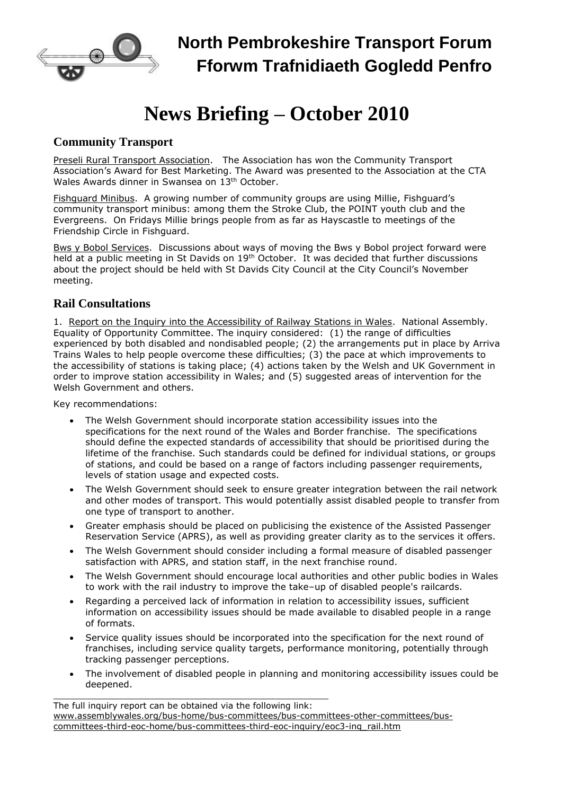

## **News Briefing – October 2010**

## **Community Transport**

Preseli Rural Transport Association. The Association has won the Community Transport Association's Award for Best Marketing. The Award was presented to the Association at the CTA Wales Awards dinner in Swansea on 13<sup>th</sup> October.

Fishguard Minibus. A growing number of community groups are using Millie, Fishguard's community transport minibus: among them the Stroke Club, the POINT youth club and the Evergreens. On Fridays Millie brings people from as far as Hayscastle to meetings of the Friendship Circle in Fishguard.

Bws y Bobol Services. Discussions about ways of moving the Bws y Bobol project forward were held at a public meeting in St Davids on 19<sup>th</sup> October. It was decided that further discussions about the project should be held with St Davids City Council at the City Council's November meeting.

## **Rail Consultations**

1. Report on the Inquiry into the Accessibility of Railway Stations in Wales. National Assembly. Equality of Opportunity Committee. The inquiry considered: (1) the range of difficulties experienced by both disabled and nondisabled people; (2) the arrangements put in place by Arriva Trains Wales to help people overcome these difficulties; (3) the pace at which improvements to the accessibility of stations is taking place; (4) actions taken by the Welsh and UK Government in order to improve station accessibility in Wales; and (5) suggested areas of intervention for the Welsh Government and others.

Key recommendations:

- The Welsh Government should incorporate station accessibility issues into the specifications for the next round of the Wales and Border franchise. The specifications should define the expected standards of accessibility that should be prioritised during the lifetime of the franchise. Such standards could be defined for individual stations, or groups of stations, and could be based on a range of factors including passenger requirements, levels of station usage and expected costs.
- The Welsh Government should seek to ensure greater integration between the rail network and other modes of transport. This would potentially assist disabled people to transfer from one type of transport to another.
- Greater emphasis should be placed on publicising the existence of the Assisted Passenger Reservation Service (APRS), as well as providing greater clarity as to the services it offers.
- The Welsh Government should consider including a formal measure of disabled passenger satisfaction with APRS, and station staff, in the next franchise round.
- The Welsh Government should encourage local authorities and other public bodies in Wales to work with the rail industry to improve the take–up of disabled people's railcards.
- Regarding a perceived lack of information in relation to accessibility issues, sufficient information on accessibility issues should be made available to disabled people in a range of formats.
- Service quality issues should be incorporated into the specification for the next round of franchises, including service quality targets, performance monitoring, potentially through tracking passenger perceptions.
- The involvement of disabled people in planning and monitoring accessibility issues could be deepened.

\_\_\_\_\_\_\_\_\_\_\_\_\_\_\_\_\_\_\_\_\_\_\_\_\_\_\_\_\_\_\_\_\_\_\_\_\_\_\_\_\_\_\_\_\_\_\_\_\_\_\_ The full inquiry report can be obtained via the following link: [www.assemblywales.org/bus-home/bus-committees/bus-committees-other-committees/bus](http://www.assemblywales.org/bus-home/bus-committees/bus-committees-other-committees/bus-committees-third-eoc-home/bus-committees-third-eoc-inquiry/eoc3-inq_rail.htm)[committees-third-eoc-home/bus-committees-third-eoc-inquiry/eoc3-inq\\_rail.htm](http://www.assemblywales.org/bus-home/bus-committees/bus-committees-other-committees/bus-committees-third-eoc-home/bus-committees-third-eoc-inquiry/eoc3-inq_rail.htm)